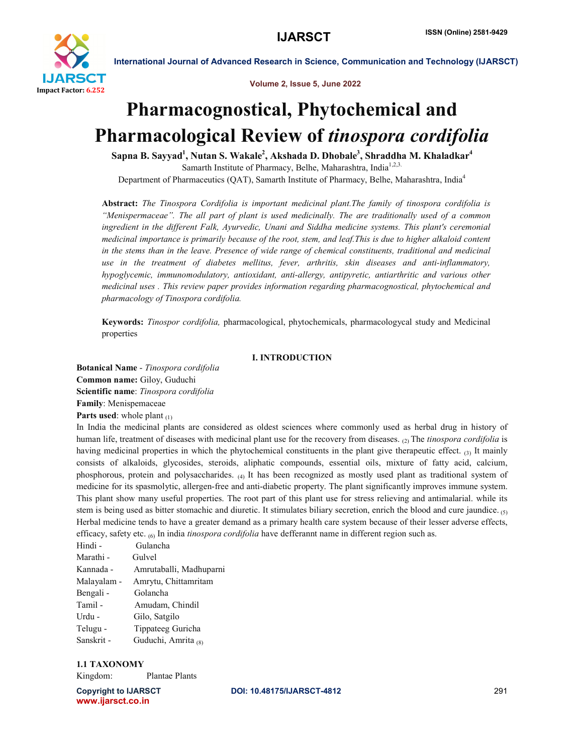

Volume 2, Issue 5, June 2022

# Pharmacognostical, Phytochemical and Pharmacological Review of *tinospora cordifolia*

Sapna B. Sayyad<sup>1</sup>, Nutan S. Wakale<sup>2</sup>, Akshada D. Dhobale<sup>3</sup>, Shraddha M. Khaladkar<sup>4</sup> Samarth Institute of Pharmacy, Belhe, Maharashtra, India<sup>1,2,3.</sup> Department of Pharmaceutics (QAT), Samarth Institute of Pharmacy, Belhe, Maharashtra, India<sup>4</sup>

Abstract: *The Tinospora Cordifolia is important medicinal plant.The family of tinospora cordifolia is "Menispermaceae". The all part of plant is used medicinally. The are traditionally used of a common ingredient in the different Falk, Ayurvedic, Unani and Siddha medicine systems. This plant's ceremonial medicinal importance is primarily because of the root, stem, and leaf.This is due to higher alkaloid content in the stems than in the leave. Presence of wide range of chemical constituents, traditional and medicinal use in the treatment of diabetes mellitus, fever, arthritis, skin diseases and anti-inflammatory, hypoglycemic, immunomodulatory, antioxidant, anti-allergy, antipyretic, antiarthritic and various other medicinal uses . This review paper provides information regarding pharmacognostical, phytochemical and pharmacology of Tinospora cordifolia.*

Keywords: *Tinospor cordifolia,* pharmacological, phytochemicals, pharmacologycal study and Medicinal properties

#### I. INTRODUCTION

Botanical Name - *Tinospora cordifolia* Common name: Giloy, Guduchi Scientific name: *Tinospora cordifolia* Family: Menispemaceae **Parts used:** whole plant  $(1)$ 

In India the medicinal plants are considered as oldest sciences where commonly used as herbal drug in history of human life, treatment of diseases with medicinal plant use for the recovery from diseases. <sub>(2)</sub> The *tinospora cordifolia* is having medicinal properties in which the phytochemical constituents in the plant give therapeutic effect.  $_{(3)}$  It mainly consists of alkaloids, glycosides, steroids, aliphatic compounds, essential oils, mixture of fatty acid, calcium, phosphorous, protein and polysaccharides. (4) It has been recognized as mostly used plant as traditional system of medicine for its spasmolytic, allergen-free and anti-diabetic property. The plant significantly improves immune system. This plant show many useful properties. The root part of this plant use for stress relieving and antimalarial. while its stem is being used as bitter stomachic and diuretic. It stimulates biliary secretion, enrich the blood and cure jaundice. (5) Herbal medicine tends to have a greater demand as a primary health care system because of their lesser adverse effects, efficacy, safety etc. (6) In india *tinospora cordifolia* have defferannt name in different region such as.

Hindi - Gulancha Marathi - Gulvel Kannada - Amrutaballi, Madhuparni Malayalam - Amrytu, Chittamritam Bengali - Golancha Tamil - Amudam, Chindil Urdu - Gilo, Satgilo Telugu - Tippateeg Guricha Sanskrit - Guduchi, Amrita (8)

### 1.1 TAXONOMY

Kingdom: Plantae Plants

www.ijarsct.co.in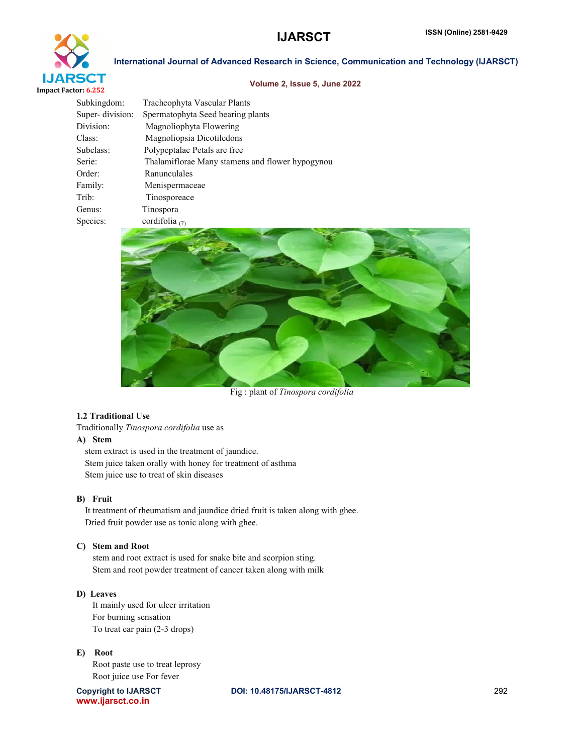

#### Volume 2, Issue 5, June 2022

| Subkingdom:     | Tracheophyta Vascular Plants                    |
|-----------------|-------------------------------------------------|
| Super-division: | Spermatophyta Seed bearing plants               |
| Division:       | Magnoliophyta Flowering                         |
| Class:          | Magnoliopsia Dicotiledons                       |
| Subclass:       | Polypeptalae Petals are free                    |
| Serie:          | Thalamiflorae Many stamens and flower hypogynou |
| Order:          | Ranunculales                                    |
| Family:         | Menispermaceae                                  |
| Trib:           | Tinosporeace                                    |
| Genus:          | Tinospora                                       |
| Species:        | cordifolia $(7)$                                |
|                 |                                                 |



Fig : plant of *Tinospora cordifolia*

#### 1.2 Traditional Use

Traditionally *Tinospora cordifolia* use as

#### A) Stem

stem extract is used in the treatment of jaundice. Stem juice taken orally with honey for treatment of asthma Stem juice use to treat of skin diseases

#### B) Fruit

It treatment of rheumatism and jaundice dried fruit is taken along with ghee. Dried fruit powder use as tonic along with ghee.

#### C)Stem and Root

stem and root extract is used for snake bite and scorpion sting. Stem and root powder treatment of cancer taken along with milk

### D) Leaves

It mainly used for ulcer irritation For burning sensation To treat ear pain (2-3 drops)

#### E) Root

Root paste use to treat leprosy Root juice use For fever

www.ijarsct.co.in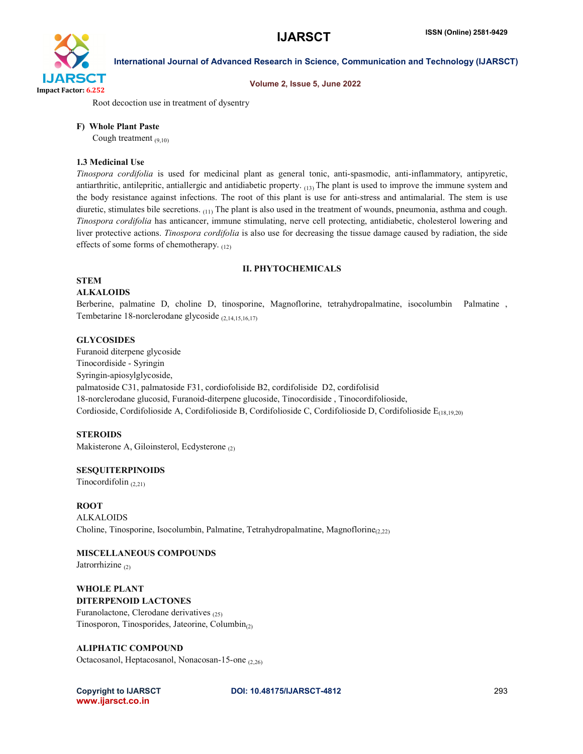

### Volume 2, Issue 5, June 2022

International Journal of Advanced Research in Science, Communication and Technology (IJARSCT)

Root decoction use in treatment of dysentry

#### F) Whole Plant Paste

Cough treatment  $(9,10)$ 

#### 1.3 Medicinal Use

*Tinospora cordifolia* is used for medicinal plant as general tonic, anti-spasmodic, anti-inflammatory, antipyretic, antiarthritic, antilepritic, antiallergic and antidiabetic property.  $_{(13)}$  The plant is used to improve the immune system and the body resistance against infections. The root of this plant is use for anti-stress and antimalarial. The stem is use diuretic, stimulates bile secretions. (11) The plant is also used in the treatment of wounds, pneumonia, asthma and cough. *Tinospora cordifolia* has anticancer, immune stimulating, nerve cell protecting, antidiabetic, cholesterol lowering and liver protective actions. *Tinospora cordifolia* is also use for decreasing the tissue damage caused by radiation, the side effects of some forms of chemotherapy. (12)

#### II. PHYTOCHEMICALS

#### **STEM**

#### ALKALOIDS

Berberine, palmatine D, choline D, tinosporine, Magnoflorine, tetrahydropalmatine, isocolumbin Palmatine , Tembetarine 18-norclerodane glycoside (2,14,15,16,17)

#### **GLYCOSIDES**

Furanoid diterpene glycoside Tinocordiside - Syringin Syringin-apiosylglycoside, palmatoside C31, palmatoside F31, cordiofoliside B2, cordifoliside D2, cordifolisid 18-norclerodane glucosid, Furanoid-diterpene glucoside, Tinocordiside , Tinocordifolioside, Cordioside, Cordifolioside A, Cordifolioside B, Cordifolioside C, Cordifolioside D, Cordifolioside  $E_{(18,19,20)}$ 

#### **STEROIDS**

Makisterone A, Giloinsterol, Ecdysterone (2)

#### SESQUITERPINOIDS

Tinocordifolin  $(2.21)$ 

#### ROOT

ALKALOIDS Choline, Tinosporine, Isocolumbin, Palmatine, Tetrahydropalmatine, Magnoflorine $_{(2,22)}$ 

## MISCELLANEOUS COMPOUNDS

Jatrorrhizine <sub>(2)</sub>

WHOLE PLANT DITERPENOID LACTONES Furanolactone, Clerodane derivatives (25) Tinosporon, Tinosporides, Jateorine, Columbin $_{(2)}$ 

ALIPHATIC COMPOUND

Octacosanol, Heptacosanol, Nonacosan-15-one (2,26)

www.ijarsct.co.in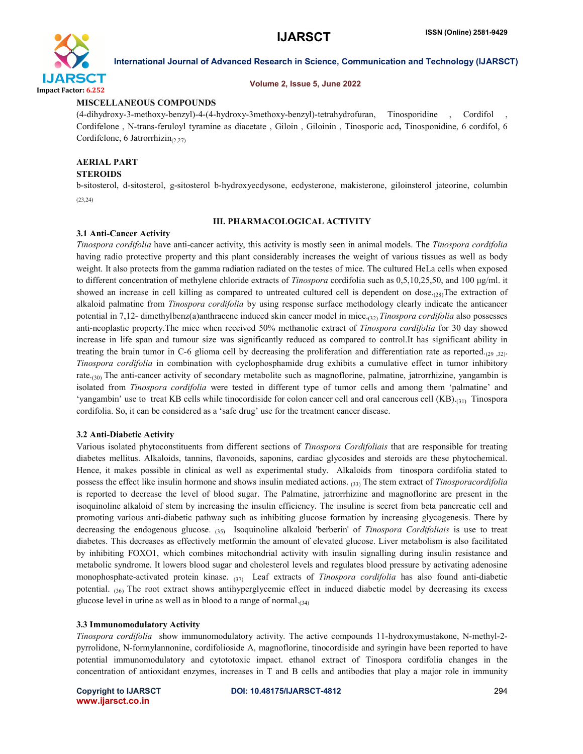

#### Volume 2, Issue 5, June 2022

#### MISCELLANEOUS COMPOUNDS

(4-dihydroxy-3-methoxy-benzyl)-4-(4-hydroxy-3methoxy-benzyl)-tetrahydrofuran, Tinosporidine , Cordifol , Cordifelone , N-trans-feruloyl tyramine as diacetate , Giloin , Giloinin , Tinosporic acd, Tinosponidine, 6 cordifol, 6 Cordifelone, 6 Jatrorrhizin $_{(2,27)}$ 

## AERIAL PART

### **STEROIDS**

b-sitosterol, d-sitosterol, g-sitosterol b-hydroxyecdysone, ecdysterone, makisterone, giloinsterol jateorine, columbin (23,24)

#### III. PHARMACOLOGICAL ACTIVITY

#### 3.1 Anti-Cancer Activity

*Tinospora cordifolia* have anti-cancer activity, this activity is mostly seen in animal models. The *Tinospora cordifolia*  having radio protective property and this plant considerably increases the weight of various tissues as well as body weight. It also protects from the gamma radiation radiated on the testes of mice. The cultured HeLa cells when exposed to different concentration of methylene chloride extracts of *Tinospora* cordifolia such as 0,5,10,25,50, and 100 μg/ml. it showed an increase in cell killing as compared to untreated cultured cell is dependent on dose. $_{(28)}$ The extraction of alkaloid palmatine from *Tinospora cordifolia* by using response surface methodology clearly indicate the anticancer potential in 7,12- dimethylbenz(a)anthracene induced skin cancer model in mice.(32) *Tinospora cordifolia* also possesses anti-neoplastic property.The mice when received 50% methanolic extract of *Tinospora cordifolia* for 30 day showed increase in life span and tumour size was significantly reduced as compared to control.It has significant ability in treating the brain tumor in C-6 glioma cell by decreasing the proliferation and differentiation rate as reported. $_{(29, 32)}$ . *Tinospora cordifolia* in combination with cyclophosphamide drug exhibits a cumulative effect in tumor inhibitory rate.<sub>(30)</sub> The anti-cancer activity of secondary metabolite such as magnoflorine, palmatine, jatrorrhizine, yangambin is isolated from *Tinospora cordifolia* were tested in different type of tumor cells and among them 'palmatine' and 'yangambin' use to treat KB cells while tinocordiside for colon cancer cell and oral cancerous cell (KB).(31) Tinospora cordifolia. So, it can be considered as a 'safe drug' use for the treatment cancer disease.

#### 3.2 Anti-Diabetic Activity

Various isolated phytoconstituents from different sections of *Tinospora Cordifoliais* that are responsible for treating diabetes mellitus. Alkaloids, tannins, flavonoids, saponins, cardiac glycosides and steroids are these phytochemical. Hence, it makes possible in clinical as well as experimental study. Alkaloids from tinospora cordifolia stated to possess the effect like insulin hormone and shows insulin mediated actions. (33) The stem extract of *Tinosporacordifolia* is reported to decrease the level of blood sugar. The Palmatine, jatrorrhizine and magnoflorine are present in the isoquinoline alkaloid of stem by increasing the insulin efficiency. The insuline is secret from beta pancreatic cell and promoting various anti-diabetic pathway such as inhibiting glucose formation by increasing glycogenesis. There by decreasing the endogenous glucose. (35) Isoquinoline alkaloid 'berberin' of *Tinospora Cordifoliais* is use to treat diabetes. This decreases as effectively metformin the amount of elevated glucose. Liver metabolism is also facilitated by inhibiting FOXO1, which combines mitochondrial activity with insulin signalling during insulin resistance and metabolic syndrome. It lowers blood sugar and cholesterol levels and regulates blood pressure by activating adenosine monophosphate-activated protein kinase. (37) Leaf extracts of *Tinospora cordifolia* has also found anti-diabetic potential. (36) The root extract shows antihyperglycemic effect in induced diabetic model by decreasing its excess glucose level in urine as well as in blood to a range of normal. $_{(34)}$ 

#### 3.3 Immunomodulatory Activity

*Tinospora cordifolia* show immunomodulatory activity. The active compounds 11-hydroxymustakone, N-methyl-2 pyrrolidone, N-formylannonine, cordifolioside A, magnoflorine, tinocordiside and syringin have been reported to have potential immunomodulatory and cytototoxic impact. ethanol extract of Tinospora cordifolia changes in the concentration of antioxidant enzymes, increases in T and B cells and antibodies that play a major role in immunity

www.ijarsct.co.in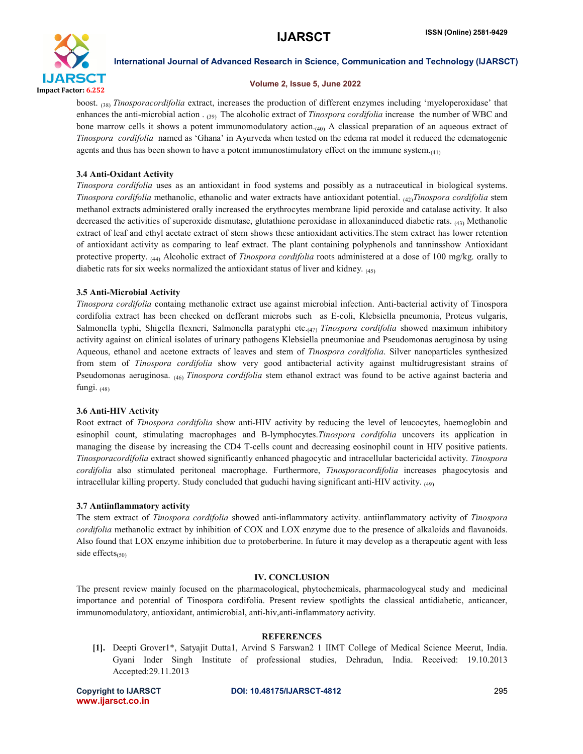

#### Volume 2, Issue 5, June 2022

boost. (38) *Tinosporacordifolia* extract, increases the production of different enzymes including 'myeloperoxidase' that enhances the anti-microbial action . (39) The alcoholic extract of *Tinospora cordifolia* increase the number of WBC and bone marrow cells it shows a potent immunomodulatory action.<sub>(40)</sub> A classical preparation of an aqueous extract of *Tinospora cordifolia* named as 'Ghana' in Ayurveda when tested on the edema rat model it reduced the edematogenic agents and thus has been shown to have a potent immunostimulatory effect on the immune system. $(4<sub>1</sub>)$ 

#### 3.4 Anti-Oxidant Activity

*Tinospora cordifolia* uses as an antioxidant in food systems and possibly as a nutraceutical in biological systems. *Tinospora cordifolia* methanolic, ethanolic and water extracts have antioxidant potential. (42)*Tinospora cordifolia* stem methanol extracts administered orally increased the erythrocytes membrane lipid peroxide and catalase activity. It also decreased the activities of superoxide dismutase, glutathione peroxidase in alloxaninduced diabetic rats. (43) Methanolic extract of leaf and ethyl acetate extract of stem shows these antioxidant activities.The stem extract has lower retention of antioxidant activity as comparing to leaf extract. The plant containing polyphenols and tanninsshow Antioxidant protective property. (44) Alcoholic extract of *Tinospora cordifolia* roots administered at a dose of 100 mg/kg. orally to diabetic rats for six weeks normalized the antioxidant status of liver and kidney.  $(45)$ 

#### 3.5 Anti-Microbial Activity

*Tinospora cordifolia* containg methanolic extract use against microbial infection. Anti-bacterial activity of Tinospora cordifolia extract has been checked on defferant microbs such as E-coli, Klebsiella pneumonia, Proteus vulgaris, Salmonella typhi, Shigella flexneri, Salmonella paratyphi etc.(47) *Tinospora cordifolia* showed maximum inhibitory activity against on clinical isolates of urinary pathogens Klebsiella pneumoniae and Pseudomonas aeruginosa by using Aqueous, ethanol and acetone extracts of leaves and stem of *Tinospora cordifolia*. Silver nanoparticles synthesized from stem of *Tinospora cordifolia* show very good antibacterial activity against multidrugresistant strains of Pseudomonas aeruginosa. (46) *Tinospora cordifolia* stem ethanol extract was found to be active against bacteria and fungi. (48)

#### 3.6 Anti-HIV Activity

Root extract of *Tinospora cordifolia* show anti-HIV activity by reducing the level of leucocytes, haemoglobin and esinophil count, stimulating macrophages and B-lymphocytes.*Tinospora cordifolia* uncovers its application in managing the disease by increasing the CD4 T-cells count and decreasing eosinophil count in HIV positive patients. *Tinosporacordifolia* extract showed significantly enhanced phagocytic and intracellular bactericidal activity. *Tinospora cordifolia* also stimulated peritoneal macrophage. Furthermore, *Tinosporacordifolia* increases phagocytosis and intracellular killing property. Study concluded that guduchi having significant anti-HIV activity. (49)

#### 3.7 Antiinflammatory activity

The stem extract of *Tinospora cordifolia* showed anti-inflammatory activity. antiinflammatory activity of *Tinospora cordifolia* methanolic extract by inhibition of COX and LOX enzyme due to the presence of alkaloids and flavanoids. Also found that LOX enzyme inhibition due to protoberberine. In future it may develop as a therapeutic agent with less side effects $_{(50)}$ 

#### IV. CONCLUSION

The present review mainly focused on the pharmacological, phytochemicals, pharmacologycal study and medicinal importance and potential of Tinospora cordifolia. Present review spotlights the classical antidiabetic, anticancer, immunomodulatory, antioxidant, antimicrobial, anti-hiv,anti-inflammatory activity.

### REFERENCES

[1]. Deepti Grover1\*, Satyajit Dutta1, Arvind S Farswan2 1 IIMT College of Medical Science Meerut, India. Gyani Inder Singh Institute of professional studies, Dehradun, India. Received: 19.10.2013 Accepted:29.11.2013

www.ijarsct.co.in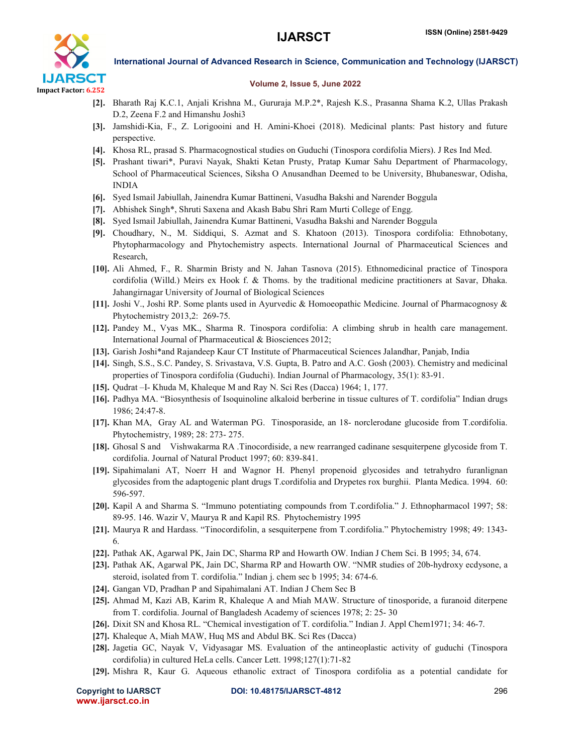

#### Volume 2, Issue 5, June 2022

- [2]. Bharath Raj K.C.1, Anjali Krishna M., Gururaja M.P.2\*, Rajesh K.S., Prasanna Shama K.2, Ullas Prakash D.2, Zeena F.2 and Himanshu Joshi3
- [3]. Jamshidi-Kia, F., Z. Lorigooini and H. Amini-Khoei (2018). Medicinal plants: Past history and future perspective.
- [4]. Khosa RL, prasad S. Pharmacognostical studies on Guduchi (Tinospora cordifolia Miers). J Res Ind Med.
- [5]. Prashant tiwari\*, Puravi Nayak, Shakti Ketan Prusty, Pratap Kumar Sahu Department of Pharmacology, School of Pharmaceutical Sciences, Siksha O Anusandhan Deemed to be University, Bhubaneswar, Odisha, INDIA
- [6]. Syed Ismail Jabiullah, Jainendra Kumar Battineni, Vasudha Bakshi and Narender Boggula
- [7]. Abhishek Singh\*, Shruti Saxena and Akash Babu Shri Ram Murti College of Engg.
- [8]. Syed Ismail Jabiullah, Jainendra Kumar Battineni, Vasudha Bakshi and Narender Boggula
- [9]. Choudhary, N., M. Siddiqui, S. Azmat and S. Khatoon (2013). Tinospora cordifolia: Ethnobotany, Phytopharmacology and Phytochemistry aspects. International Journal of Pharmaceutical Sciences and Research,
- [10]. Ali Ahmed, F., R. Sharmin Bristy and N. Jahan Tasnova (2015). Ethnomedicinal practice of Tinospora cordifolia (Willd.) Meirs ex Hook f. & Thoms. by the traditional medicine practitioners at Savar, Dhaka. Jahangirnagar University of Journal of Biological Sciences
- [11]. Joshi V., Joshi RP. Some plants used in Ayurvedic & Homoeopathic Medicine. Journal of Pharmacognosy & Phytochemistry 2013,2: 269-75.
- [12]. Pandey M., Vyas MK., Sharma R. Tinospora cordifolia: A climbing shrub in health care management. International Journal of Pharmaceutical & Biosciences 2012;
- [13]. Garish Joshi\*and Rajandeep Kaur CT Institute of Pharmaceutical Sciences Jalandhar, Panjab, India
- [14]. Singh, S.S., S.C. Pandey, S. Srivastava, V.S. Gupta, B. Patro and A.C. Gosh (2003). Chemistry and medicinal properties of Tinospora cordifolia (Guduchi). Indian Journal of Pharmacology, 35(1): 83-91.
- [15]. Qudrat –I- Khuda M, Khaleque M and Ray N. Sci Res (Dacca) 1964; 1, 177.
- [16]. Padhya MA. "Biosynthesis of Isoquinoline alkaloid berberine in tissue cultures of T. cordifolia" Indian drugs 1986; 24:47-8.
- [17]. Khan MA, Gray AL and Waterman PG. Tinosporaside, an 18- norclerodane glucoside from T.cordifolia. Phytochemistry, 1989; 28: 273- 275.
- [18]. Ghosal S and Vishwakarma RA .Tinocordiside, a new rearranged cadinane sesquiterpene glycoside from T. cordifolia. Journal of Natural Product 1997; 60: 839-841.
- [19]. Sipahimalani AT, Noerr H and Wagnor H. Phenyl propenoid glycosides and tetrahydro furanlignan glycosides from the adaptogenic plant drugs T.cordifolia and Drypetes rox burghii. Planta Medica. 1994. 60: 596-597.
- [20]. Kapil A and Sharma S. "Immuno potentiating compounds from T.cordifolia." J. Ethnopharmacol 1997; 58: 89-95. 146. Wazir V, Maurya R and Kapil RS. Phytochemistry 1995
- [21]. Maurya R and Hardass. "Tinocordifolin, a sesquiterpene from T.cordifolia." Phytochemistry 1998; 49: 1343- 6.
- [22]. Pathak AK, Agarwal PK, Jain DC, Sharma RP and Howarth OW. Indian J Chem Sci. B 1995; 34, 674.
- [23]. Pathak AK, Agarwal PK, Jain DC, Sharma RP and Howarth OW. "NMR studies of 20b-hydroxy ecdysone, a steroid, isolated from T. cordifolia." Indian j. chem sec b 1995; 34: 674-6.
- [24]. Gangan VD, Pradhan P and Sipahimalani AT. Indian J Chem Sec B
- [25]. Ahmad M, Kazi AB, Karim R, Khaleque A and Miah MAW. Structure of tinosporide, a furanoid diterpene from T. cordifolia. Journal of Bangladesh Academy of sciences 1978; 2: 25- 30
- [26]. Dixit SN and Khosa RL. "Chemical investigation of T. cordifolia." Indian J. Appl Chem1971; 34: 46-7.
- [27]. Khaleque A, Miah MAW, Huq MS and Abdul BK. Sci Res (Dacca)
- [28]. Jagetia GC, Nayak V, Vidyasagar MS. Evaluation of the antineoplastic activity of guduchi (Tinospora cordifolia) in cultured HeLa cells. Cancer Lett. 1998;127(1):71-82
- [29]. Mishra R, Kaur G. Aqueous ethanolic extract of Tinospora cordifolia as a potential candidate for